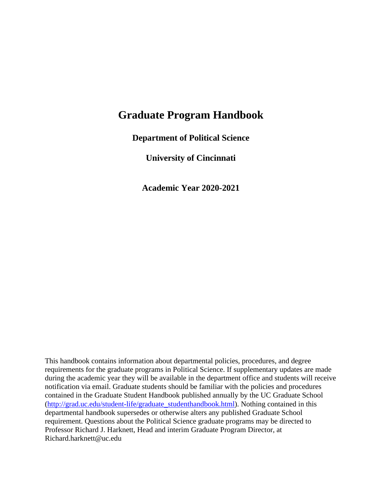# **Graduate Program Handbook**

**Department of Political Science**

**University of Cincinnati**

**Academic Year 2020-2021**

This handbook contains information about departmental policies, procedures, and degree requirements for the graduate programs in Political Science. If supplementary updates are made during the academic year they will be available in the department office and students will receive notification via email. Graduate students should be familiar with the policies and procedures contained in the Graduate Student Handbook published annually by the UC Graduate School [\(http://grad.uc.edu/student-life/graduate\\_studenthandbook.html\)](http://grad.uc.edu/student-life/graduate_studenthandbook.html). Nothing contained in this departmental handbook supersedes or otherwise alters any published Graduate School requirement. Questions about the Political Science graduate programs may be directed to Professor Richard J. Harknett, Head and interim Graduate Program Director, at Richard.harknett@uc.edu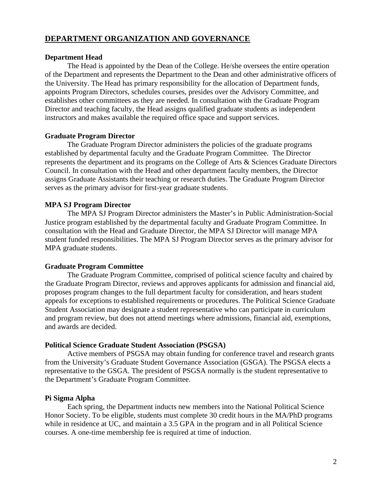# **DEPARTMENT ORGANIZATION AND GOVERNANCE**

## **Department Head**

The Head is appointed by the Dean of the College. He/she oversees the entire operation of the Department and represents the Department to the Dean and other administrative officers of the University. The Head has primary responsibility for the allocation of Department funds, appoints Program Directors, schedules courses, presides over the Advisory Committee, and establishes other committees as they are needed. In consultation with the Graduate Program Director and teaching faculty, the Head assigns qualified graduate students as independent instructors and makes available the required office space and support services.

## **Graduate Program Director**

The Graduate Program Director administers the policies of the graduate programs established by departmental faculty and the Graduate Program Committee. The Director represents the department and its programs on the College of Arts & Sciences Graduate Directors Council. In consultation with the Head and other department faculty members, the Director assigns Graduate Assistants their teaching or research duties. The Graduate Program Director serves as the primary advisor for first-year graduate students.

## **MPA SJ Program Director**

The MPA SJ Program Director administers the Master's in Public Administration-Social Justice program established by the departmental faculty and Graduate Program Committee. In consultation with the Head and Graduate Director, the MPA SJ Director will manage MPA student funded responsibilities. The MPA SJ Program Director serves as the primary advisor for MPA graduate students.

## **Graduate Program Committee**

The Graduate Program Committee, comprised of political science faculty and chaired by the Graduate Program Director, reviews and approves applicants for admission and financial aid, proposes program changes to the full department faculty for consideration, and hears student appeals for exceptions to established requirements or procedures. The Political Science Graduate Student Association may designate a student representative who can participate in curriculum and program review, but does not attend meetings where admissions, financial aid, exemptions, and awards are decided.

## **Political Science Graduate Student Association (PSGSA)**

Active members of PSGSA may obtain funding for conference travel and research grants from the University's Graduate Student Governance Association (GSGA). The PSGSA elects a representative to the GSGA. The president of PSGSA normally is the student representative to the Department's Graduate Program Committee.

## **Pi Sigma Alpha**

Each spring, the Department inducts new members into the National Political Science Honor Society. To be eligible, students must complete 30 credit hours in the MA/PhD programs while in residence at UC, and maintain a 3.5 GPA in the program and in all Political Science courses. A one-time membership fee is required at time of induction.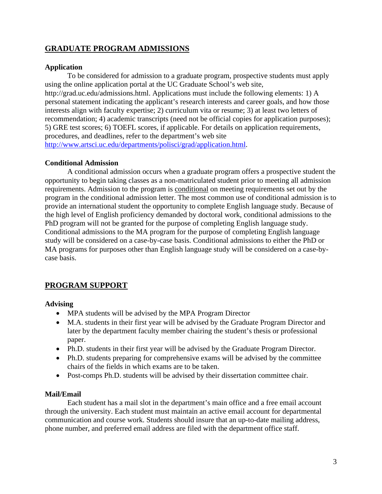# **GRADUATE PROGRAM ADMISSIONS**

# **Application**

To be considered for admission to a graduate program, prospective students must apply using the online application portal at the UC Graduate School's web site, http://grad.uc.edu/admissions.html. Applications must include the following elements: 1) A personal statement indicating the applicant's research interests and career goals, and how those interests align with faculty expertise; 2) curriculum vita or resume; 3) at least two letters of recommendation; 4) academic transcripts (need not be official copies for application purposes); 5) GRE test scores; 6) TOEFL scores, if applicable. For details on application requirements, procedures, and deadlines, refer to the department's web site [http://www.artsci.uc.edu/departments/polisci/grad/application.html.](http://www.artsci.uc.edu/departments/polisci/grad/application.html)

# **Conditional Admission**

A conditional admission occurs when a graduate program offers a prospective student the opportunity to begin taking classes as a non-matriculated student prior to meeting all admission requirements. Admission to the program is conditional on meeting requirements set out by the program in the conditional admission letter. The most common use of conditional admission is to provide an international student the opportunity to complete English language study. Because of the high level of English proficiency demanded by doctoral work, conditional admissions to the PhD program will not be granted for the purpose of completing English language study. Conditional admissions to the MA program for the purpose of completing English language study will be considered on a case-by-case basis. Conditional admissions to either the PhD or MA programs for purposes other than English language study will be considered on a case-bycase basis.

# **PROGRAM SUPPORT**

# **Advising**

- MPA students will be advised by the MPA Program Director
- M.A. students in their first year will be advised by the Graduate Program Director and later by the department faculty member chairing the student's thesis or professional paper.
- Ph.D. students in their first year will be advised by the Graduate Program Director.
- Ph.D. students preparing for comprehensive exams will be advised by the committee chairs of the fields in which exams are to be taken.
- Post-comps Ph.D. students will be advised by their dissertation committee chair.

# **Mail/Email**

Each student has a mail slot in the department's main office and a free email account through the university. Each student must maintain an active email account for departmental communication and course work. Students should insure that an up-to-date mailing address, phone number, and preferred email address are filed with the department office staff.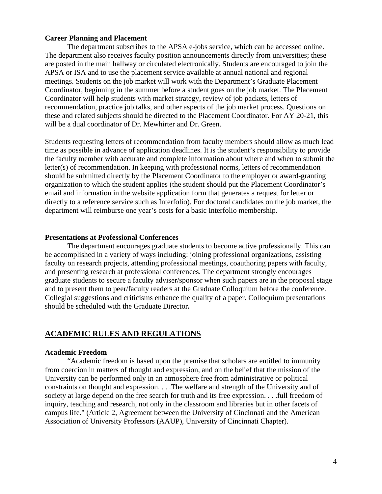## **Career Planning and Placement**

The department subscribes to the APSA e-jobs service, which can be accessed online. The department also receives faculty position announcements directly from universities; these are posted in the main hallway or circulated electronically. Students are encouraged to join the APSA or ISA and to use the placement service available at annual national and regional meetings. Students on the job market will work with the Department's Graduate Placement Coordinator, beginning in the summer before a student goes on the job market. The Placement Coordinator will help students with market strategy, review of job packets, letters of recommendation, practice job talks, and other aspects of the job market process. Questions on these and related subjects should be directed to the Placement Coordinator. For AY 20-21, this will be a dual coordinator of Dr. Mewhirter and Dr. Green.

Students requesting letters of recommendation from faculty members should allow as much lead time as possible in advance of application deadlines. It is the student's responsibility to provide the faculty member with accurate and complete information about where and when to submit the letter(s) of recommendation. In keeping with professional norms, letters of recommendation should be submitted directly by the Placement Coordinator to the employer or award-granting organization to which the student applies (the student should put the Placement Coordinator's email and information in the website application form that generates a request for letter or directly to a reference service such as Interfolio). For doctoral candidates on the job market, the department will reimburse one year's costs for a basic Interfolio membership.

#### **Presentations at Professional Conferences**

The department encourages graduate students to become active professionally. This can be accomplished in a variety of ways including: joining professional organizations, assisting faculty on research projects, attending professional meetings, coauthoring papers with faculty, and presenting research at professional conferences. The department strongly encourages graduate students to secure a faculty adviser/sponsor when such papers are in the proposal stage and to present them to peer/faculty readers at the Graduate Colloquium before the conference. Collegial suggestions and criticisms enhance the quality of a paper. Colloquium presentations should be scheduled with the Graduate Director**.**

## **ACADEMIC RULES AND REGULATIONS**

#### **Academic Freedom**

"Academic freedom is based upon the premise that scholars are entitled to immunity from coercion in matters of thought and expression, and on the belief that the mission of the University can be performed only in an atmosphere free from administrative or political constraints on thought and expression. . . .The welfare and strength of the University and of society at large depend on the free search for truth and its free expression. . . .full freedom of inquiry, teaching and research, not only in the classroom and libraries but in other facets of campus life." (Article 2, Agreement between the University of Cincinnati and the American Association of University Professors (AAUP), University of Cincinnati Chapter).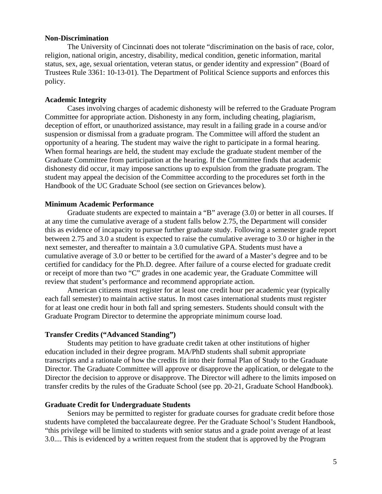## **Non-Discrimination**

The University of Cincinnati does not tolerate "discrimination on the basis of race, color, religion, national origin, ancestry, disability, medical condition, genetic information, marital status, sex, age, sexual orientation, veteran status, or gender identity and expression" (Board of Trustees Rule 3361: 10-13-01). The Department of Political Science supports and enforces this policy.

## **Academic Integrity**

Cases involving charges of academic dishonesty will be referred to the Graduate Program Committee for appropriate action. Dishonesty in any form, including cheating, plagiarism, deception of effort, or unauthorized assistance, may result in a failing grade in a course and/or suspension or dismissal from a graduate program. The Committee will afford the student an opportunity of a hearing. The student may waive the right to participate in a formal hearing. When formal hearings are held, the student may exclude the graduate student member of the Graduate Committee from participation at the hearing. If the Committee finds that academic dishonesty did occur, it may impose sanctions up to expulsion from the graduate program. The student may appeal the decision of the Committee according to the procedures set forth in the Handbook of the UC Graduate School (see section on Grievances below).

## **Minimum Academic Performance**

Graduate students are expected to maintain a "B" average (3.0) or better in all courses. If at any time the cumulative average of a student falls below 2.75, the Department will consider this as evidence of incapacity to pursue further graduate study. Following a semester grade report between 2.75 and 3.0 a student is expected to raise the cumulative average to 3.0 or higher in the next semester, and thereafter to maintain a 3.0 cumulative GPA. Students must have a cumulative average of 3.0 or better to be certified for the award of a Master's degree and to be certified for candidacy for the Ph.D. degree. After failure of a course elected for graduate credit or receipt of more than two "C" grades in one academic year, the Graduate Committee will review that student's performance and recommend appropriate action.

American citizens must register for at least one credit hour per academic year (typically each fall semester) to maintain active status. In most cases international students must register for at least one credit hour in both fall and spring semesters. Students should consult with the Graduate Program Director to determine the appropriate minimum course load.

#### **Transfer Credits ("Advanced Standing")**

Students may petition to have graduate credit taken at other institutions of higher education included in their degree program. MA/PhD students shall submit appropriate transcripts and a rationale of how the credits fit into their formal Plan of Study to the Graduate Director. The Graduate Committee will approve or disapprove the application, or delegate to the Director the decision to approve or disapprove. The Director will adhere to the limits imposed on transfer credits by the rules of the Graduate School (see pp. 20-21, Graduate School Handbook).

#### **Graduate Credit for Undergraduate Students**

Seniors may be permitted to register for graduate courses for graduate credit before those students have completed the baccalaureate degree. Per the Graduate School's Student Handbook, "this privilege will be limited to students with senior status and a grade point average of at least 3.0.... This is evidenced by a written request from the student that is approved by the Program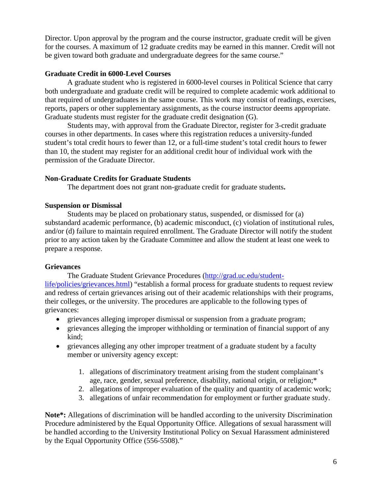Director. Upon approval by the program and the course instructor, graduate credit will be given for the courses. A maximum of 12 graduate credits may be earned in this manner. Credit will not be given toward both graduate and undergraduate degrees for the same course."

## **Graduate Credit in 6000-Level Courses**

A graduate student who is registered in 6000-level courses in Political Science that carry both undergraduate and graduate credit will be required to complete academic work additional to that required of undergraduates in the same course. This work may consist of readings, exercises, reports, papers or other supplementary assignments, as the course instructor deems appropriate. Graduate students must register for the graduate credit designation (G).

Students may, with approval from the Graduate Director, register for 3-credit graduate courses in other departments. In cases where this registration reduces a university-funded student's total credit hours to fewer than 12, or a full-time student's total credit hours to fewer than 10, the student may register for an additional credit hour of individual work with the permission of the Graduate Director.

# **Non-Graduate Credits for Graduate Students**

The department does not grant non-graduate credit for graduate students**.**

## **Suspension or Dismissal**

Students may be placed on probationary status, suspended, or dismissed for (a) substandard academic performance, (b) academic misconduct, (c) violation of institutional rules, and/or (d) failure to maintain required enrollment. The Graduate Director will notify the student prior to any action taken by the Graduate Committee and allow the student at least one week to prepare a response.

# **Grievances**

The Graduate Student Grievance Procedures [\(http://grad.uc.edu/student-](http://grad.uc.edu/student-life/policies/grievances.html)

[life/policies/grievances.html\)](http://grad.uc.edu/student-life/policies/grievances.html) "establish a formal process for graduate students to request review and redress of certain grievances arising out of their academic relationships with their programs, their colleges, or the university. The procedures are applicable to the following types of grievances:

- grievances alleging improper dismissal or suspension from a graduate program;
- grievances alleging the improper withholding or termination of financial support of any kind;
- grievances alleging any other improper treatment of a graduate student by a faculty member or university agency except:
	- 1. allegations of discriminatory treatment arising from the student complainant's age, race, gender, sexual preference, disability, national origin, or religion;\*
	- 2. allegations of improper evaluation of the quality and quantity of academic work;
	- 3. allegations of unfair recommendation for employment or further graduate study.

**Note\*:** Allegations of discrimination will be handled according to the university Discrimination Procedure administered by the Equal Opportunity Office. Allegations of sexual harassment will be handled according to the University Institutional Policy on Sexual Harassment administered by the Equal Opportunity Office (556-5508)."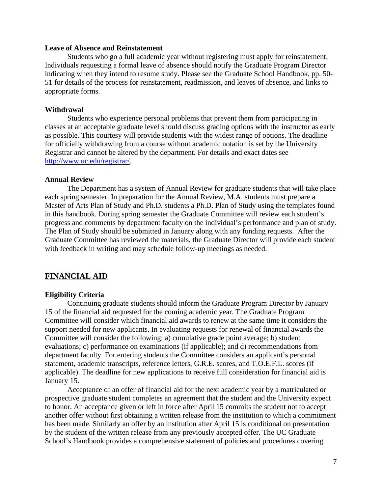#### **Leave of Absence and Reinstatement**

Students who go a full academic year without registering must apply for reinstatement. Individuals requesting a formal leave of absence should notify the Graduate Program Director indicating when they intend to resume study. Please see the Graduate School Handbook, pp. 50- 51 for details of the process for reinstatement, readmission, and leaves of absence, and links to appropriate forms.

### **Withdrawal**

Students who experience personal problems that prevent them from participating in classes at an acceptable graduate level should discuss grading options with the instructor as early as possible. This courtesy will provide students with the widest range of options. The deadline for officially withdrawing from a course without academic notation is set by the University Registrar and cannot be altered by the department. For details and exact dates see [http://www.uc.edu/registrar/.](http://www.uc.edu/registrar/)

## **Annual Review**

The Department has a system of Annual Review for graduate students that will take place each spring semester. In preparation for the Annual Review, M.A. students must prepare a Master of Arts Plan of Study and Ph.D. students a Ph.D. Plan of Study using the templates found in this handbook. During spring semester the Graduate Committee will review each student's progress and comments by department faculty on the individual's performance and plan of study. The Plan of Study should be submitted in January along with any funding requests. After the Graduate Committee has reviewed the materials, the Graduate Director will provide each student with feedback in writing and may schedule follow-up meetings as needed.

## **FINANCIAL AID**

#### **Eligibility Criteria**

Continuing graduate students should inform the Graduate Program Director by January 15 of the financial aid requested for the coming academic year. The Graduate Program Committee will consider which financial aid awards to renew at the same time it considers the support needed for new applicants. In evaluating requests for renewal of financial awards the Committee will consider the following: a) cumulative grade point average; b) student evaluations; c) performance on examinations (if applicable); and d) recommendations from department faculty. For entering students the Committee considers an applicant's personal statement, academic transcripts, reference letters, G.R.E. scores, and T.O.E.F.L. scores (if applicable). The deadline for new applications to receive full consideration for financial aid is January 15.

Acceptance of an offer of financial aid for the next academic year by a matriculated or prospective graduate student completes an agreement that the student and the University expect to honor. An acceptance given or left in force after April 15 commits the student not to accept another offer without first obtaining a written release from the institution to which a commitment has been made. Similarly an offer by an institution after April 15 is conditional on presentation by the student of the written release from any previously accepted offer. The UC Graduate School's Handbook provides a comprehensive statement of policies and procedures covering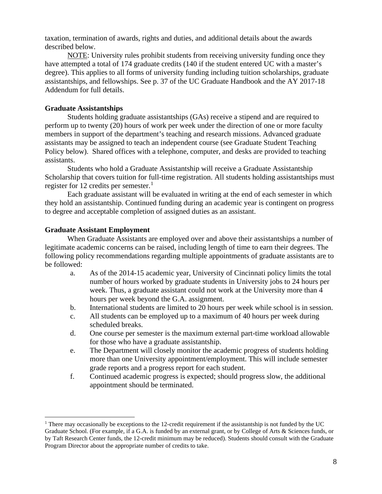taxation, termination of awards, rights and duties, and additional details about the awards described below.

NOTE: University rules prohibit students from receiving university funding once they have attempted a total of 174 graduate credits (140 if the student entered UC with a master's degree). This applies to all forms of university funding including tuition scholarships, graduate assistantships, and fellowships. See p. 37 of the UC Graduate Handbook and the AY 2017-18 Addendum for full details.

## **Graduate Assistantships**

Students holding graduate assistantships (GAs) receive a stipend and are required to perform up to twenty (20) hours of work per week under the direction of one or more faculty members in support of the department's teaching and research missions. Advanced graduate assistants may be assigned to teach an independent course (see Graduate Student Teaching Policy below). Shared offices with a telephone, computer, and desks are provided to teaching assistants.

Students who hold a Graduate Assistantship will receive a Graduate Assistantship Scholarship that covers tuition for full-time registration. All students holding assistantships must register for [1](#page-7-0)2 credits per semester.<sup>1</sup>

Each graduate assistant will be evaluated in writing at the end of each semester in which they hold an assistantship. Continued funding during an academic year is contingent on progress to degree and acceptable completion of assigned duties as an assistant.

## **Graduate Assistant Employment**

When Graduate Assistants are employed over and above their assistantships a number of legitimate academic concerns can be raised, including length of time to earn their degrees. The following policy recommendations regarding multiple appointments of graduate assistants are to be followed:

- a. As of the 2014-15 academic year, University of Cincinnati policy limits the total number of hours worked by graduate students in University jobs to 24 hours per week. Thus, a graduate assistant could not work at the University more than 4 hours per week beyond the G.A. assignment.
- b. International students are limited to 20 hours per week while school is in session.
- c. All students can be employed up to a maximum of 40 hours per week during scheduled breaks.
- d. One course per semester is the maximum external part-time workload allowable for those who have a graduate assistantship.
- e. The Department will closely monitor the academic progress of students holding more than one University appointment/employment. This will include semester grade reports and a progress report for each student.
- f. Continued academic progress is expected; should progress slow, the additional appointment should be terminated.

<span id="page-7-0"></span><sup>&</sup>lt;sup>1</sup> There may occasionally be exceptions to the 12-credit requirement if the assistantship is not funded by the UC Graduate School. (For example, if a G.A. is funded by an external grant, or by College of Arts & Sciences funds, or by Taft Research Center funds, the 12-credit minimum may be reduced). Students should consult with the Graduate Program Director about the appropriate number of credits to take.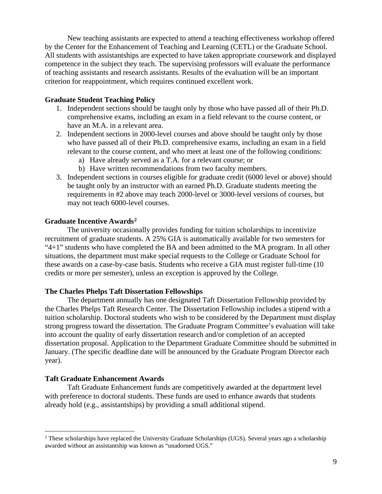New teaching assistants are expected to attend a teaching effectiveness workshop offered by the Center for the Enhancement of Teaching and Learning (CETL) or the Graduate School. All students with assistantships are expected to have taken appropriate coursework and displayed competence in the subject they teach. The supervising professors will evaluate the performance of teaching assistants and research assistants. Results of the evaluation will be an important criterion for reappointment, which requires continued excellent work.

## **Graduate Student Teaching Policy**

- 1. Independent sections should be taught only by those who have passed all of their Ph.D. comprehensive exams, including an exam in a field relevant to the course content, or have an M.A. in a relevant area.
- 2. Independent sections in 2000-level courses and above should be taught only by those who have passed all of their Ph.D. comprehensive exams, including an exam in a field relevant to the course content, and who meet at least one of the following conditions:
	- a) Have already served as a T.A. for a relevant course; or
	- b) Have written recommendations from two faculty members.
- 3. Independent sections in courses eligible for graduate credit (6000 level or above) should be taught only by an instructor with an earned Ph.D. Graduate students meeting the requirements in #2 above may teach 2000-level or 3000-level versions of courses, but may not teach 6000-level courses.

## **Graduate Incentive Awards[2](#page-8-0)**

The university occasionally provides funding for tuition scholarships to incentivize recruitment of graduate students. A 25% GIA is automatically available for two semesters for "4+1" students who have completed the BA and been admitted to the MA program. In all other situations, the department must make special requests to the College or Graduate School for these awards on a case-by-case basis. Students who receive a GIA must register full-time (10 credits or more per semester), unless an exception is approved by the College.

## **The Charles Phelps Taft Dissertation Fellowships**

The department annually has one designated Taft Dissertation Fellowship provided by the Charles Phelps Taft Research Center. The Dissertation Fellowship includes a stipend with a tuition scholarship. Doctoral students who wish to be considered by the Department must display strong progress toward the dissertation. The Graduate Program Committee's evaluation will take into account the quality of early dissertation research and/or completion of an accepted dissertation proposal. Application to the Department Graduate Committee should be submitted in January. (The specific deadline date will be announced by the Graduate Program Director each year).

## **Taft Graduate Enhancement Awards**

Taft Graduate Enhancement funds are competitively awarded at the department level with preference to doctoral students. These funds are used to enhance awards that students already hold (e.g., assistantships) by providing a small additional stipend.

<span id="page-8-0"></span><sup>&</sup>lt;sup>2</sup> These scholarships have replaced the University Graduate Scholarships (UGS). Several years ago a scholarship awarded without an assistantship was known as "unadorned UGS."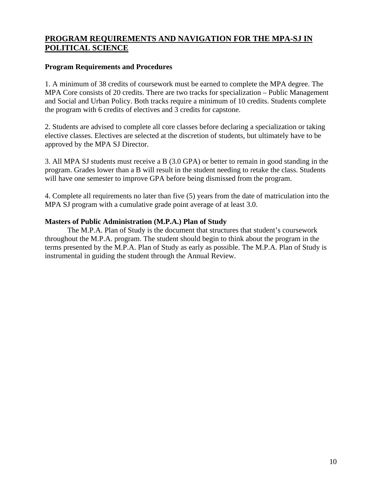# **PROGRAM REQUIREMENTS AND NAVIGATION FOR THE MPA-SJ IN POLITICAL SCIENCE**

## **Program Requirements and Procedures**

1. A minimum of 38 credits of coursework must be earned to complete the MPA degree. The MPA Core consists of 20 credits. There are two tracks for specialization – Public Management and Social and Urban Policy. Both tracks require a minimum of 10 credits. Students complete the program with 6 credits of electives and 3 credits for capstone.

2. Students are advised to complete all core classes before declaring a specialization or taking elective classes. Electives are selected at the discretion of students, but ultimately have to be approved by the MPA SJ Director.

3. All MPA SJ students must receive a B (3.0 GPA) or better to remain in good standing in the program. Grades lower than a B will result in the student needing to retake the class. Students will have one semester to improve GPA before being dismissed from the program.

4. Complete all requirements no later than five (5) years from the date of matriculation into the MPA SJ program with a cumulative grade point average of at least 3.0.

## **Masters of Public Administration (M.P.A.) Plan of Study**

The M.P.A. Plan of Study is the document that structures that student's coursework throughout the M.P.A. program. The student should begin to think about the program in the terms presented by the M.P.A. Plan of Study as early as possible. The M.P.A. Plan of Study is instrumental in guiding the student through the Annual Review.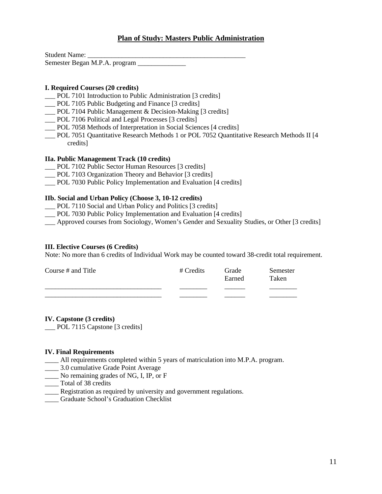## **Plan of Study: Masters Public Administration**

Student Name: Semester Began M.P.A. program

## **I. Required Courses (20 credits)**

- \_\_\_ POL 7101 Introduction to Public Administration [3 credits]
- \_\_\_ POL 7105 Public Budgeting and Finance [3 credits]
- \_\_\_ POL 7104 Public Management & Decision-Making [3 credits]
- \_\_\_ POL 7106 Political and Legal Processes [3 credits]
- \_\_\_ POL 7058 Methods of Interpretation in Social Sciences [4 credits]
- \_\_\_ POL 7051 Quantitative Research Methods 1 or POL 7052 Quantitative Research Methods II [4 credits]

### **IIa. Public Management Track (10 credits)**

- \_\_\_ POL 7102 Public Sector Human Resources [3 credits]
- \_\_\_ POL 7103 Organization Theory and Behavior [3 credits]
- POL 7030 Public Policy Implementation and Evaluation [4 credits]

#### **IIb. Social and Urban Policy (Choose 3, 10-12 credits)**

- \_\_\_ POL 7110 Social and Urban Policy and Politics [3 credits]
- \_\_\_ POL 7030 Public Policy Implementation and Evaluation [4 credits]

\_\_\_ Approved courses from Sociology, Women's Gender and Sexuality Studies, or Other [3 credits]

#### **III. Elective Courses (6 Credits)**

Note: No more than 6 credits of Individual Work may be counted toward 38-credit total requirement.

| Course # and Title | # Credits | Grade<br>Earned | Semester<br>Taken |
|--------------------|-----------|-----------------|-------------------|
|                    |           |                 |                   |

#### **IV. Capstone (3 credits)**

\_\_\_ POL 7115 Capstone [3 credits]

#### **IV. Final Requirements**

- \_\_\_\_ All requirements completed within 5 years of matriculation into M.P.A. program.
- \_\_\_\_ 3.0 cumulative Grade Point Average
- \_\_\_\_ No remaining grades of NG, I, IP, or F
- \_\_\_\_ Total of 38 credits
- \_\_\_\_ Registration as required by university and government regulations.
- \_\_\_\_ Graduate School's Graduation Checklist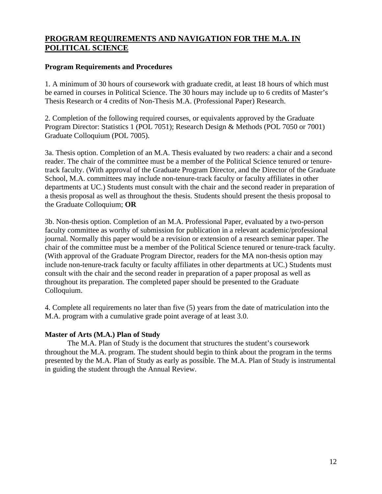# **PROGRAM REQUIREMENTS AND NAVIGATION FOR THE M.A. IN POLITICAL SCIENCE**

## **Program Requirements and Procedures**

1. A minimum of 30 hours of coursework with graduate credit, at least 18 hours of which must be earned in courses in Political Science. The 30 hours may include up to 6 credits of Master's Thesis Research or 4 credits of Non-Thesis M.A. (Professional Paper) Research.

2. Completion of the following required courses, or equivalents approved by the Graduate Program Director: Statistics 1 (POL 7051); Research Design & Methods (POL 7050 or 7001) Graduate Colloquium (POL 7005).

3a. Thesis option. Completion of an M.A. Thesis evaluated by two readers: a chair and a second reader. The chair of the committee must be a member of the Political Science tenured or tenuretrack faculty. (With approval of the Graduate Program Director, and the Director of the Graduate School, M.A. committees may include non-tenure-track faculty or faculty affiliates in other departments at UC.) Students must consult with the chair and the second reader in preparation of a thesis proposal as well as throughout the thesis. Students should present the thesis proposal to the Graduate Colloquium; **OR**

3b. Non-thesis option. Completion of an M.A. Professional Paper, evaluated by a two-person faculty committee as worthy of submission for publication in a relevant academic/professional journal. Normally this paper would be a revision or extension of a research seminar paper. The chair of the committee must be a member of the Political Science tenured or tenure-track faculty. (With approval of the Graduate Program Director, readers for the MA non-thesis option may include non-tenure-track faculty or faculty affiliates in other departments at UC.) Students must consult with the chair and the second reader in preparation of a paper proposal as well as throughout its preparation. The completed paper should be presented to the Graduate Colloquium.

4. Complete all requirements no later than five (5) years from the date of matriculation into the M.A. program with a cumulative grade point average of at least 3.0.

## **Master of Arts (M.A.) Plan of Study**

The M.A. Plan of Study is the document that structures the student's coursework throughout the M.A. program. The student should begin to think about the program in the terms presented by the M.A. Plan of Study as early as possible. The M.A. Plan of Study is instrumental in guiding the student through the Annual Review.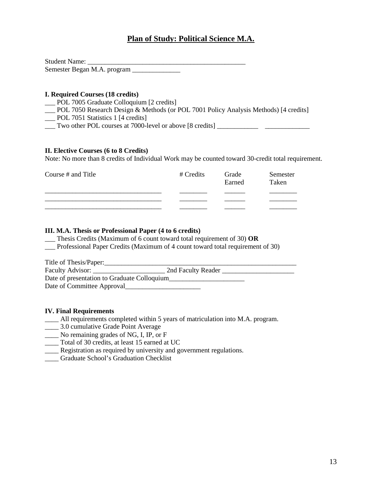# **Plan of Study: Political Science M.A.**

Student Name: \_\_\_\_\_\_\_\_\_\_\_\_\_\_\_\_\_\_\_\_\_\_\_\_\_\_\_\_\_\_\_\_\_\_\_\_\_\_\_\_\_\_\_\_\_\_ Semester Began M.A. program \_\_\_\_\_\_\_\_\_\_\_\_\_\_

#### **I. Required Courses (18 credits)**

- \_\_\_ POL 7005 Graduate Colloquium [2 credits]
- \_\_\_ POL 7050 Research Design & Methods (or POL 7001 Policy Analysis Methods) [4 credits]
- \_\_\_ POL 7051 Statistics 1 [4 credits]
- \_\_\_ Two other POL courses at 7000-level or above [8 credits] \_\_\_\_\_\_\_\_\_\_\_\_ \_\_\_\_\_\_\_\_\_\_\_\_\_

#### **II. Elective Courses (6 to 8 Credits)**

Note: No more than 8 credits of Individual Work may be counted toward 30-credit total requirement.

| Course $#$ and Title | # Credits | Grade<br>Earned | Semester<br>Taken |
|----------------------|-----------|-----------------|-------------------|
|                      |           |                 |                   |
|                      |           |                 |                   |
|                      |           |                 |                   |

#### **III. M.A. Thesis or Professional Paper (4 to 6 credits)**

\_\_\_ Thesis Credits (Maximum of 6 count toward total requirement of 30) **OR**

\_\_\_ Professional Paper Credits (Maximum of 4 count toward total requirement of 30)

| Title of Thesis/Paper:                      |                    |
|---------------------------------------------|--------------------|
| Faculty Advisor:                            | 2nd Faculty Reader |
| Date of presentation to Graduate Colloquium |                    |
| Date of Committee Approval                  |                    |

#### **IV. Final Requirements**

- \_\_\_\_ All requirements completed within 5 years of matriculation into M.A. program.
- \_\_\_\_ 3.0 cumulative Grade Point Average
- \_\_\_\_ No remaining grades of NG, I, IP, or F
- \_\_\_\_ Total of 30 credits, at least 15 earned at UC
- \_\_\_\_ Registration as required by university and government regulations.
- \_\_\_\_ Graduate School's Graduation Checklist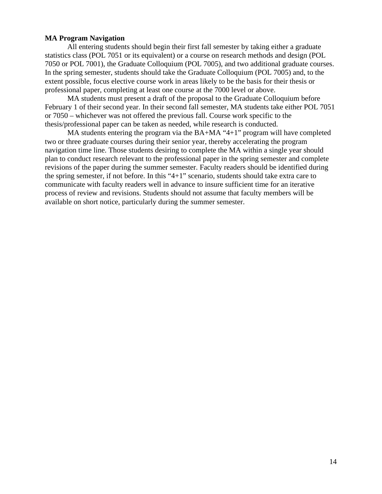## **MA Program Navigation**

All entering students should begin their first fall semester by taking either a graduate statistics class (POL 7051 or its equivalent) or a course on research methods and design (POL 7050 or POL 7001), the Graduate Colloquium (POL 7005), and two additional graduate courses. In the spring semester, students should take the Graduate Colloquium (POL 7005) and, to the extent possible, focus elective course work in areas likely to be the basis for their thesis or professional paper, completing at least one course at the 7000 level or above.

MA students must present a draft of the proposal to the Graduate Colloquium before February 1 of their second year. In their second fall semester, MA students take either POL 7051 or 7050 – whichever was not offered the previous fall. Course work specific to the thesis/professional paper can be taken as needed, while research is conducted.

MA students entering the program via the BA+MA "4+1" program will have completed two or three graduate courses during their senior year, thereby accelerating the program navigation time line. Those students desiring to complete the MA within a single year should plan to conduct research relevant to the professional paper in the spring semester and complete revisions of the paper during the summer semester. Faculty readers should be identified during the spring semester, if not before. In this "4+1" scenario, students should take extra care to communicate with faculty readers well in advance to insure sufficient time for an iterative process of review and revisions. Students should not assume that faculty members will be available on short notice, particularly during the summer semester.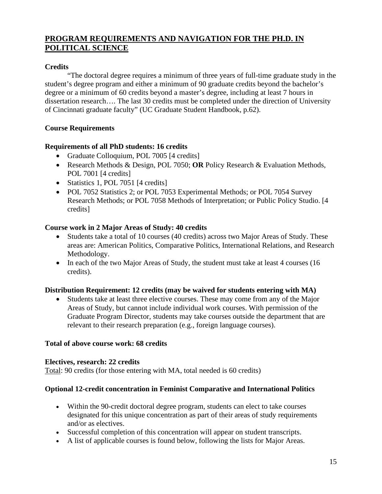# **PROGRAM REQUIREMENTS AND NAVIGATION FOR THE PH.D. IN POLITICAL SCIENCE**

# **Credits**

"The doctoral degree requires a minimum of three years of full-time graduate study in the student's degree program and either a minimum of 90 graduate credits beyond the bachelor's degree or a minimum of 60 credits beyond a master's degree, including at least 7 hours in dissertation research…. The last 30 credits must be completed under the direction of University of Cincinnati graduate faculty" (UC Graduate Student Handbook, p.62).

# **Course Requirements**

# **Requirements of all PhD students: 16 credits**

- Graduate Colloquium, POL 7005 [4 credits]
- Research Methods & Design, POL 7050; **OR** Policy Research & Evaluation Methods, POL 7001 [4 credits]
- Statistics 1, POL 7051 [4 credits]
- POL 7052 Statistics 2; or POL 7053 Experimental Methods; or POL 7054 Survey Research Methods; or POL 7058 Methods of Interpretation; or Public Policy Studio. [4 credits]

# **Course work in 2 Major Areas of Study: 40 credits**

- Students take a total of 10 courses (40 credits) across two Major Areas of Study. These areas are: American Politics, Comparative Politics, International Relations, and Research Methodology.
- In each of the two Major Areas of Study, the student must take at least 4 courses (16) credits).

# **Distribution Requirement: 12 credits (may be waived for students entering with MA)**

• Students take at least three elective courses. These may come from any of the Major Areas of Study, but cannot include individual work courses. With permission of the Graduate Program Director, students may take courses outside the department that are relevant to their research preparation (e.g., foreign language courses).

# **Total of above course work: 68 credits**

# **Electives, research: 22 credits**

Total: 90 credits (for those entering with MA, total needed is 60 credits)

# **Optional 12-credit concentration in Feminist Comparative and International Politics**

- Within the 90-credit doctoral degree program, students can elect to take courses designated for this unique concentration as part of their areas of study requirements and/or as electives.
- Successful completion of this concentration will appear on student transcripts.
- A list of applicable courses is found below, following the lists for Major Areas.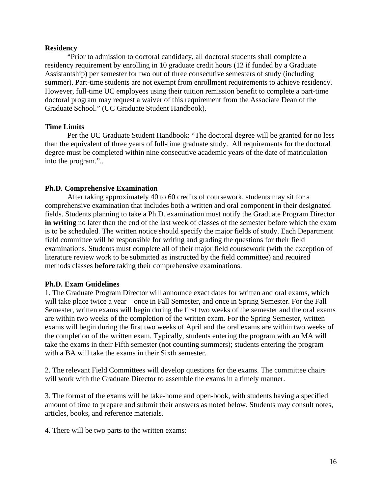## **Residency**

"Prior to admission to doctoral candidacy, all doctoral students shall complete a residency requirement by enrolling in 10 graduate credit hours (12 if funded by a Graduate Assistantship) per semester for two out of three consecutive semesters of study (including summer). Part-time students are not exempt from enrollment requirements to achieve residency. However, full-time UC employees using their tuition remission benefit to complete a part-time doctoral program may request a waiver of this requirement from the Associate Dean of the Graduate School." (UC Graduate Student Handbook).

## **Time Limits**

Per the UC Graduate Student Handbook: "The doctoral degree will be granted for no less than the equivalent of three years of full-time graduate study. All requirements for the doctoral degree must be completed within nine consecutive academic years of the date of matriculation into the program."..

## **Ph.D. Comprehensive Examination**

After taking approximately 40 to 60 credits of coursework, students may sit for a comprehensive examination that includes both a written and oral component in their designated fields. Students planning to take a Ph.D. examination must notify the Graduate Program Director **in writing** no later than the end of the last week of classes of the semester before which the exam is to be scheduled. The written notice should specify the major fields of study. Each Department field committee will be responsible for writing and grading the questions for their field examinations. Students must complete all of their major field coursework (with the exception of literature review work to be submitted as instructed by the field committee) and required methods classes **before** taking their comprehensive examinations.

## **Ph.D. Exam Guidelines**

1. The Graduate Program Director will announce exact dates for written and oral exams, which will take place twice a year—once in Fall Semester, and once in Spring Semester. For the Fall Semester, written exams will begin during the first two weeks of the semester and the oral exams are within two weeks of the completion of the written exam. For the Spring Semester, written exams will begin during the first two weeks of April and the oral exams are within two weeks of the completion of the written exam. Typically, students entering the program with an MA will take the exams in their Fifth semester (not counting summers); students entering the program with a BA will take the exams in their Sixth semester.

2. The relevant Field Committees will develop questions for the exams. The committee chairs will work with the Graduate Director to assemble the exams in a timely manner.

3. The format of the exams will be take-home and open-book, with students having a specified amount of time to prepare and submit their answers as noted below. Students may consult notes, articles, books, and reference materials.

4. There will be two parts to the written exams: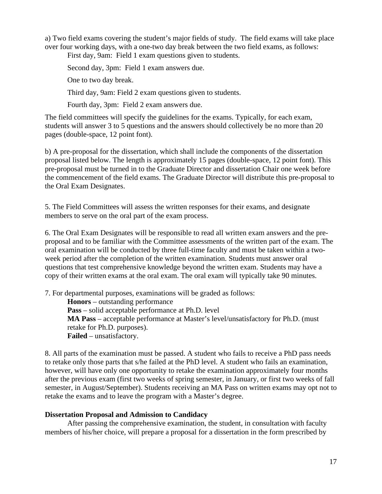a) Two field exams covering the student's major fields of study. The field exams will take place over four working days, with a one-two day break between the two field exams, as follows:

First day, 9am: Field 1 exam questions given to students.

Second day, 3pm: Field 1 exam answers due.

One to two day break.

Third day, 9am: Field 2 exam questions given to students.

Fourth day, 3pm: Field 2 exam answers due.

The field committees will specify the guidelines for the exams. Typically, for each exam, students will answer 3 to 5 questions and the answers should collectively be no more than 20 pages (double-space, 12 point font).

b) A pre-proposal for the dissertation, which shall include the components of the dissertation proposal listed below. The length is approximately 15 pages (double-space, 12 point font). This pre-proposal must be turned in to the Graduate Director and dissertation Chair one week before the commencement of the field exams. The Graduate Director will distribute this pre-proposal to the Oral Exam Designates.

5. The Field Committees will assess the written responses for their exams, and designate members to serve on the oral part of the exam process.

6. The Oral Exam Designates will be responsible to read all written exam answers and the preproposal and to be familiar with the Committee assessments of the written part of the exam. The oral examination will be conducted by three full-time faculty and must be taken within a twoweek period after the completion of the written examination. Students must answer oral questions that test comprehensive knowledge beyond the written exam. Students may have a copy of their written exams at the oral exam. The oral exam will typically take 90 minutes.

7. For departmental purposes, examinations will be graded as follows:

**Honors** – outstanding performance

**Pass** – solid acceptable performance at Ph.D. level

**MA Pass** – acceptable performance at Master's level/unsatisfactory for Ph.D. (must retake for Ph.D. purposes). **Failed** – unsatisfactory.

8. All parts of the examination must be passed. A student who fails to receive a PhD pass needs to retake only those parts that s/he failed at the PhD level. A student who fails an examination, however, will have only one opportunity to retake the examination approximately four months after the previous exam (first two weeks of spring semester, in January, or first two weeks of fall semester, in August/September). Students receiving an MA Pass on written exams may opt not to retake the exams and to leave the program with a Master's degree.

# **Dissertation Proposal and Admission to Candidacy**

After passing the comprehensive examination, the student, in consultation with faculty members of his/her choice, will prepare a proposal for a dissertation in the form prescribed by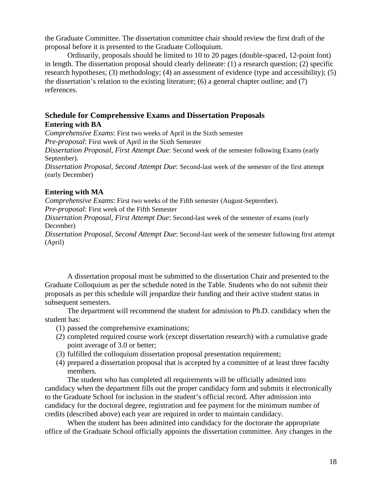the Graduate Committee. The dissertation committee chair should review the first draft of the proposal before it is presented to the Graduate Colloquium.

Ordinarily, proposals should be limited to 10 to 20 pages (double-spaced, 12-point font) in length. The dissertation proposal should clearly delineate: (1) a research question; (2) specific research hypotheses; (3) methodology; (4) an assessment of evidence (type and accessibility); (5) the dissertation's relation to the existing literature; (6) a general chapter outline; and (7) references.

# **Schedule for Comprehensive Exams and Dissertation Proposals Entering with BA**

*Comprehensive Exams*: First two weeks of April in the Sixth semester

*Pre-proposal*: First week of April in the Sixth Semester

*Dissertation Proposal, First Attempt Due*: Second week of the semester following Exams (early September).

*Dissertation Proposal, Second Attempt Due*: Second-last week of the semester of the first attempt (early December)

# **Entering with MA**

*Comprehensive Exams*: First two weeks of the Fifth semester (August-September).

*Pre-proposal*: First week of the Fifth Semester

*Dissertation Proposal, First Attempt Due*: Second-last week of the semester of exams (early December)

*Dissertation Proposal, Second Attempt Due*: Second-last week of the semester following first attempt (April)

A dissertation proposal must be submitted to the dissertation Chair and presented to the Graduate Colloquium as per the schedule noted in the Table. Students who do not submit their proposals as per this schedule will jeopardize their funding and their active student status in subsequent semesters.

The department will recommend the student for admission to Ph.D. candidacy when the student has:

- (1) passed the comprehensive examinations;
- (2) completed required course work (except dissertation research) with a cumulative grade point average of 3.0 or better;
- (3) fulfilled the colloquium dissertation proposal presentation requirement;
- (4) prepared a dissertation proposal that is accepted by a committee of at least three faculty members.

The student who has completed all requirements will be officially admitted into candidacy when the department fills out the proper candidacy form and submits it electronically to the Graduate School for inclusion in the student's official record. After admission into candidacy for the doctoral degree, registration and fee payment for the minimum number of credits (described above) each year are required in order to maintain candidacy.

When the student has been admitted into candidacy for the doctorate the appropriate office of the Graduate School officially appoints the dissertation committee. Any changes in the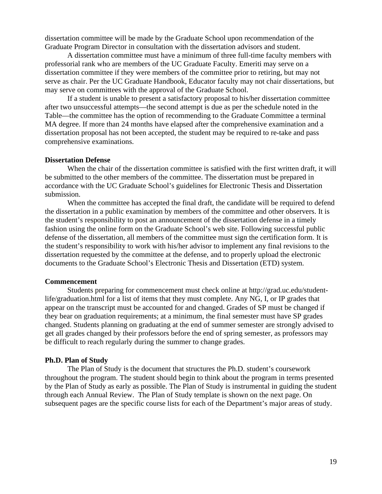dissertation committee will be made by the Graduate School upon recommendation of the Graduate Program Director in consultation with the dissertation advisors and student.

A dissertation committee must have a minimum of three full-time faculty members with professorial rank who are members of the UC Graduate Faculty. Emeriti may serve on a dissertation committee if they were members of the committee prior to retiring, but may not serve as chair. Per the UC Graduate Handbook, Educator faculty may not chair dissertations, but may serve on committees with the approval of the Graduate School.

If a student is unable to present a satisfactory proposal to his/her dissertation committee after two unsuccessful attempts—the second attempt is due as per the schedule noted in the Table—the committee has the option of recommending to the Graduate Committee a terminal MA degree. If more than 24 months have elapsed after the comprehensive examination and a dissertation proposal has not been accepted, the student may be required to re-take and pass comprehensive examinations.

#### **Dissertation Defense**

When the chair of the dissertation committee is satisfied with the first written draft, it will be submitted to the other members of the committee. The dissertation must be prepared in accordance with the UC Graduate School's guidelines for Electronic Thesis and Dissertation submission.

When the committee has accepted the final draft, the candidate will be required to defend the dissertation in a public examination by members of the committee and other observers. It is the student's responsibility to post an announcement of the dissertation defense in a timely fashion using the online form on the Graduate School's web site. Following successful public defense of the dissertation, all members of the committee must sign the certification form. It is the student's responsibility to work with his/her advisor to implement any final revisions to the dissertation requested by the committee at the defense, and to properly upload the electronic documents to the Graduate School's Electronic Thesis and Dissertation (ETD) system.

#### **Commencement**

Students preparing for commencement must check online at http://grad.uc.edu/studentlife/graduation.html for a list of items that they must complete. Any NG, I, or IP grades that appear on the transcript must be accounted for and changed. Grades of SP must be changed if they bear on graduation requirements; at a minimum, the final semester must have SP grades changed. Students planning on graduating at the end of summer semester are strongly advised to get all grades changed by their professors before the end of spring semester, as professors may be difficult to reach regularly during the summer to change grades.

## **Ph.D. Plan of Study**

The Plan of Study is the document that structures the Ph.D. student's coursework throughout the program. The student should begin to think about the program in terms presented by the Plan of Study as early as possible. The Plan of Study is instrumental in guiding the student through each Annual Review. The Plan of Study template is shown on the next page. On subsequent pages are the specific course lists for each of the Department's major areas of study.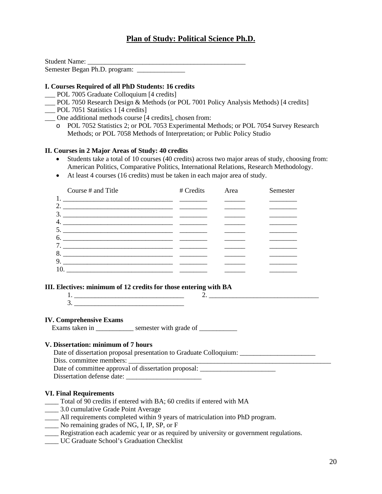# **Plan of Study: Political Science Ph.D.**

Student Name: \_\_\_\_\_\_\_\_\_\_\_\_\_\_\_\_\_\_\_\_\_\_\_\_\_\_\_\_\_\_\_\_\_\_\_\_\_\_\_\_\_\_\_\_\_\_ Semester Began Ph.D. program:

## **I. Courses Required of all PhD Students: 16 credits**

- \_\_\_ POL 7005 Graduate Colloquium [4 credits]
- \_\_\_ POL 7050 Research Design & Methods (or POL 7001 Policy Analysis Methods) [4 credits]
- POL 7051 Statistics 1 [4 credits]
- \_\_\_ One additional methods course [4 credits], chosen from:
	- o POL 7052 Statistics 2; or POL 7053 Experimental Methods; or POL 7054 Survey Research Methods; or POL 7058 Methods of Interpretation; or Public Policy Studio

### **II. Courses in 2 Major Areas of Study: 40 credits**

- Students take a total of 10 courses (40 credits) across two major areas of study, choosing from: American Politics, Comparative Politics, International Relations, Research Methodology.
- At least 4 courses (16 credits) must be taken in each major area of study.

|     | Course # and Title                                                                                                                                                                                                                                                                                                                                                                                                                                                       | # Credits | Area | Semester |
|-----|--------------------------------------------------------------------------------------------------------------------------------------------------------------------------------------------------------------------------------------------------------------------------------------------------------------------------------------------------------------------------------------------------------------------------------------------------------------------------|-----------|------|----------|
|     |                                                                                                                                                                                                                                                                                                                                                                                                                                                                          |           |      |          |
|     |                                                                                                                                                                                                                                                                                                                                                                                                                                                                          |           |      |          |
|     |                                                                                                                                                                                                                                                                                                                                                                                                                                                                          |           |      |          |
|     |                                                                                                                                                                                                                                                                                                                                                                                                                                                                          |           |      |          |
|     |                                                                                                                                                                                                                                                                                                                                                                                                                                                                          |           |      |          |
|     |                                                                                                                                                                                                                                                                                                                                                                                                                                                                          |           |      |          |
|     |                                                                                                                                                                                                                                                                                                                                                                                                                                                                          |           |      |          |
|     |                                                                                                                                                                                                                                                                                                                                                                                                                                                                          |           |      |          |
|     | 9. $\overline{\phantom{a}}$ $\overline{\phantom{a}}$ $\overline{\phantom{a}}$ $\overline{\phantom{a}}$ $\overline{\phantom{a}}$ $\overline{\phantom{a}}$ $\overline{\phantom{a}}$ $\overline{\phantom{a}}$ $\overline{\phantom{a}}$ $\overline{\phantom{a}}$ $\overline{\phantom{a}}$ $\overline{\phantom{a}}$ $\overline{\phantom{a}}$ $\overline{\phantom{a}}$ $\overline{\phantom{a}}$ $\overline{\phantom{a}}$ $\overline{\phantom{a}}$ $\overline{\phantom{a}}$ $\$ |           |      |          |
| 10. |                                                                                                                                                                                                                                                                                                                                                                                                                                                                          |           |      |          |

#### **III. Electives: minimum of 12 credits for those entering with BA**

#### **IV. Comprehensive Exams**

Exams taken in \_\_\_\_\_\_\_\_\_\_\_\_\_ semester with grade of \_\_\_\_\_\_\_\_\_\_\_\_

#### **V. Dissertation: minimum of 7 hours**

| Date of dissertation proposal presentation to Graduate Colloquium: |
|--------------------------------------------------------------------|
| Diss. committee members:                                           |
| Date of committee approval of dissertation proposal:               |
| Dissertation defense date:                                         |

#### **VI. Final Requirements**

- \_\_\_\_ Total of 90 credits if entered with BA; 60 credits if entered with MA
- \_\_\_\_ 3.0 cumulative Grade Point Average
- \_\_\_\_ All requirements completed within 9 years of matriculation into PhD program.
- \_\_\_\_ No remaining grades of NG, I, IP, SP, or F
- \_\_\_\_ Registration each academic year or as required by university or government regulations.
- \_\_\_\_ UC Graduate School's Graduation Checklist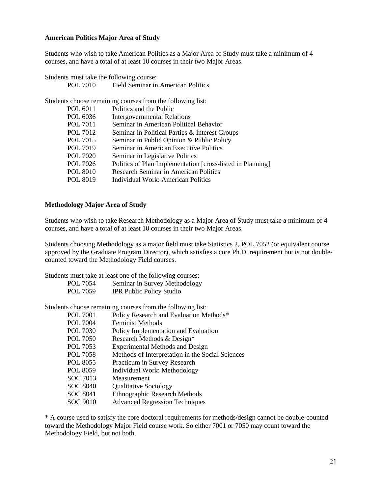## **American Politics Major Area of Study**

Students who wish to take American Politics as a Major Area of Study must take a minimum of 4 courses, and have a total of at least 10 courses in their two Major Areas.

Students must take the following course:

Students choose remaining courses from the following list.

POL 7010 Field Seminar in American Politics

|          | $\mu$ choose remaining courses from the rono wing not.     |
|----------|------------------------------------------------------------|
| POL 6011 | Politics and the Public                                    |
| POL 6036 | <b>Intergovernmental Relations</b>                         |
| POL 7011 | Seminar in American Political Behavior                     |
| POL 7012 | Seminar in Political Parties & Interest Groups             |
| POL 7015 | Seminar in Public Opinion & Public Policy                  |
| POL 7019 | Seminar in American Executive Politics                     |
| POL 7020 | Seminar in Legislative Politics                            |
| POL 7026 | Politics of Plan Implementation [cross-listed in Planning] |
| POL 8010 | Research Seminar in American Politics                      |
| POL 8019 | Individual Work: American Politics                         |
|          |                                                            |

#### **Methodology Major Area of Study**

Students who wish to take Research Methodology as a Major Area of Study must take a minimum of 4 courses, and have a total of at least 10 courses in their two Major Areas.

Students choosing Methodology as a major field must take Statistics 2, POL 7052 (or equivalent course approved by the Graduate Program Director), which satisfies a core Ph.D. requirement but is not doublecounted toward the Methodology Field courses.

Students must take at least one of the following courses:

| POL 7054 | Seminar in Survey Methodology   |
|----------|---------------------------------|
| POL 7059 | <b>IPR Public Policy Studio</b> |

Students choose remaining courses from the following list:<br>POL 7001 Policy Research and Evaluation M Policy Research and Evaluation Methods $*$ 

| 1 VL 7 VV 1     | I OIICY INCSCRIPTI RING EVALUATION INTERNOUS     |
|-----------------|--------------------------------------------------|
| <b>POL 7004</b> | <b>Feminist Methods</b>                          |
| POL 7030        | Policy Implementation and Evaluation             |
| <b>POL 7050</b> | Research Methods & Design*                       |
| POL 7053        | <b>Experimental Methods and Design</b>           |
| <b>POL 7058</b> | Methods of Interpretation in the Social Sciences |
| POL 8055        | Practicum in Survey Research                     |
| POL 8059        | Individual Work: Methodology                     |
| SOC 7013        | Measurement                                      |
| <b>SOC 8040</b> | <b>Qualitative Sociology</b>                     |
| SOC 8041        | <b>Ethnographic Research Methods</b>             |
| SOC 9010        | <b>Advanced Regression Techniques</b>            |

\* A course used to satisfy the core doctoral requirements for methods/design cannot be double-counted toward the Methodology Major Field course work. So either 7001 or 7050 may count toward the Methodology Field, but not both.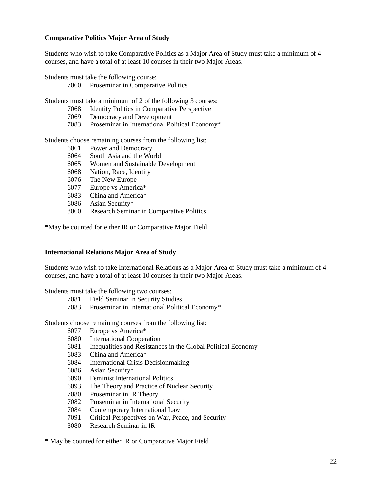## **Comparative Politics Major Area of Study**

Students who wish to take Comparative Politics as a Major Area of Study must take a minimum of 4 courses, and have a total of at least 10 courses in their two Major Areas.

Students must take the following course:

Proseminar in Comparative Politics

Students must take a minimum of 2 of the following 3 courses:

- Identity Politics in Comparative Perspective
- Democracy and Development
- Proseminar in International Political Economy\*

Students choose remaining courses from the following list:

- Power and Democracy
- South Asia and the World
- Women and Sustainable Development
- Nation, Race, Identity
- The New Europe
- Europe vs America\*
- China and America\*
- Asian Security\*
- Research Seminar in Comparative Politics

\*May be counted for either IR or Comparative Major Field

## **International Relations Major Area of Study**

Students who wish to take International Relations as a Major Area of Study must take a minimum of 4 courses, and have a total of at least 10 courses in their two Major Areas.

Students must take the following two courses:

- Field Seminar in Security Studies
- Proseminar in International Political Economy\*

Students choose remaining courses from the following list:

- Europe vs America\*
- International Cooperation
- Inequalities and Resistances in the Global Political Economy
- China and America\*
- International Crisis Decisionmaking
- Asian Security\*
- Feminist International Politics
- The Theory and Practice of Nuclear Security
- Proseminar in IR Theory
- Proseminar in International Security
- Contemporary International Law
- Critical Perspectives on War, Peace, and Security
- Research Seminar in IR

\* May be counted for either IR or Comparative Major Field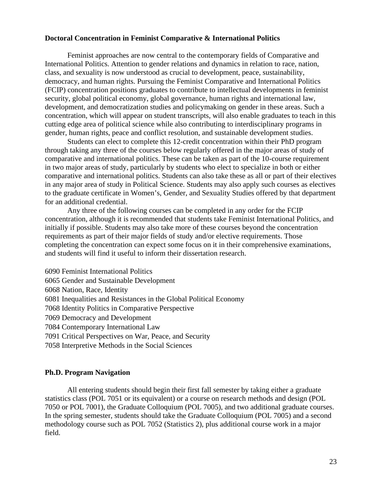## **Doctoral Concentration in Feminist Comparative & International Politics**

Feminist approaches are now central to the contemporary fields of Comparative and International Politics. Attention to gender relations and dynamics in relation to race, nation, class, and sexuality is now understood as crucial to development, peace, sustainability, democracy, and human rights. Pursuing the Feminist Comparative and International Politics (FCIP) concentration positions graduates to contribute to intellectual developments in feminist security, global political economy, global governance, human rights and international law, development, and democratization studies and policymaking on gender in these areas. Such a concentration, which will appear on student transcripts, will also enable graduates to teach in this cutting edge area of political science while also contributing to interdisciplinary programs in gender, human rights, peace and conflict resolution, and sustainable development studies.

Students can elect to complete this 12-credit concentration within their PhD program through taking any three of the courses below regularly offered in the major areas of study of comparative and international politics. These can be taken as part of the 10-course requirement in two major areas of study, particularly by students who elect to specialize in both or either comparative and international politics. Students can also take these as all or part of their electives in any major area of study in Political Science. Students may also apply such courses as electives to the graduate certificate in Women's, Gender, and Sexuality Studies offered by that department for an additional credential.

Any three of the following courses can be completed in any order for the FCIP concentration, although it is recommended that students take Feminist International Politics, and initially if possible. Students may also take more of these courses beyond the concentration requirements as part of their major fields of study and/or elective requirements. Those completing the concentration can expect some focus on it in their comprehensive examinations, and students will find it useful to inform their dissertation research.

6090 Feminist International Politics 6065 Gender and Sustainable Development 6068 Nation, Race, Identity 6081 Inequalities and Resistances in the Global Political Economy 7068 Identity Politics in Comparative Perspective 7069 Democracy and Development 7084 Contemporary International Law 7091 Critical Perspectives on War, Peace, and Security 7058 Interpretive Methods in the Social Sciences

## **Ph.D. Program Navigation**

All entering students should begin their first fall semester by taking either a graduate statistics class (POL 7051 or its equivalent) or a course on research methods and design (POL 7050 or POL 7001), the Graduate Colloquium (POL 7005), and two additional graduate courses. In the spring semester, students should take the Graduate Colloquium (POL 7005) and a second methodology course such as POL 7052 (Statistics 2), plus additional course work in a major field.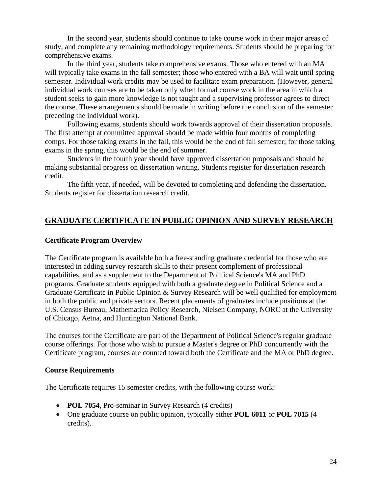In the second year, students should continue to take course work in their major areas of study, and complete any remaining methodology requirements. Students should be preparing for comprehensive exams.

In the third year, students take comprehensive exams. Those who entered with an MA will typically take exams in the fall semester; those who entered with a BA will wait until spring semester. Individual work credits may be used to facilitate exam preparation. (However, general individual work courses are to be taken only when formal course work in the area in which a student seeks to gain more knowledge is not taught and a supervising professor agrees to direct the course. These arrangements should be made in writing before the conclusion of the semester preceding the individual work).

Following exams, students should work towards approval of their dissertation proposals. The first attempt at committee approval should be made within four months of completing comps. For those taking exams in the fall, this would be the end of fall semester; for those taking exams in the spring, this would be the end of summer.

Students in the fourth year should have approved dissertation proposals and should be making substantial progress on dissertation writing. Students register for dissertation research credit.

The fifth year, if needed, will be devoted to completing and defending the dissertation. Students register for dissertation research credit.

# **GRADUATE CERTIFICATE IN PUBLIC OPINION AND SURVEY RESEARCH**

## **Certificate Program Overview**

The Certificate program is available both a free-standing graduate credential for those who are interested in adding survey research skills to their present complement of professional capabilities, and as a supplement to the Department of Political Science's MA and PhD programs. Graduate students equipped with both a graduate degree in Political Science and a Graduate Certificate in Public Opinion & Survey Research will be well qualified for employment in both the public and private sectors. Recent placements of graduates include positions at the U.S. Census Bureau, Mathematica Policy Research, Nielsen Company, NORC at the University of Chicago, Aetna, and Huntington National Bank.

The courses for the Certificate are part of the Department of Political Science's regular graduate course offerings. For those who wish to pursue a Master's degree or PhD concurrently with the Certificate program, courses are counted toward both the Certificate and the MA or PhD degree.

## **Course Requirements**

The Certificate requires 15 semester credits, with the following course work:

- **POL 7054**, Pro-seminar in Survey Research (4 credits)
- One graduate course on public opinion, typically either **POL 6011** or **POL 7015** (4 credits).